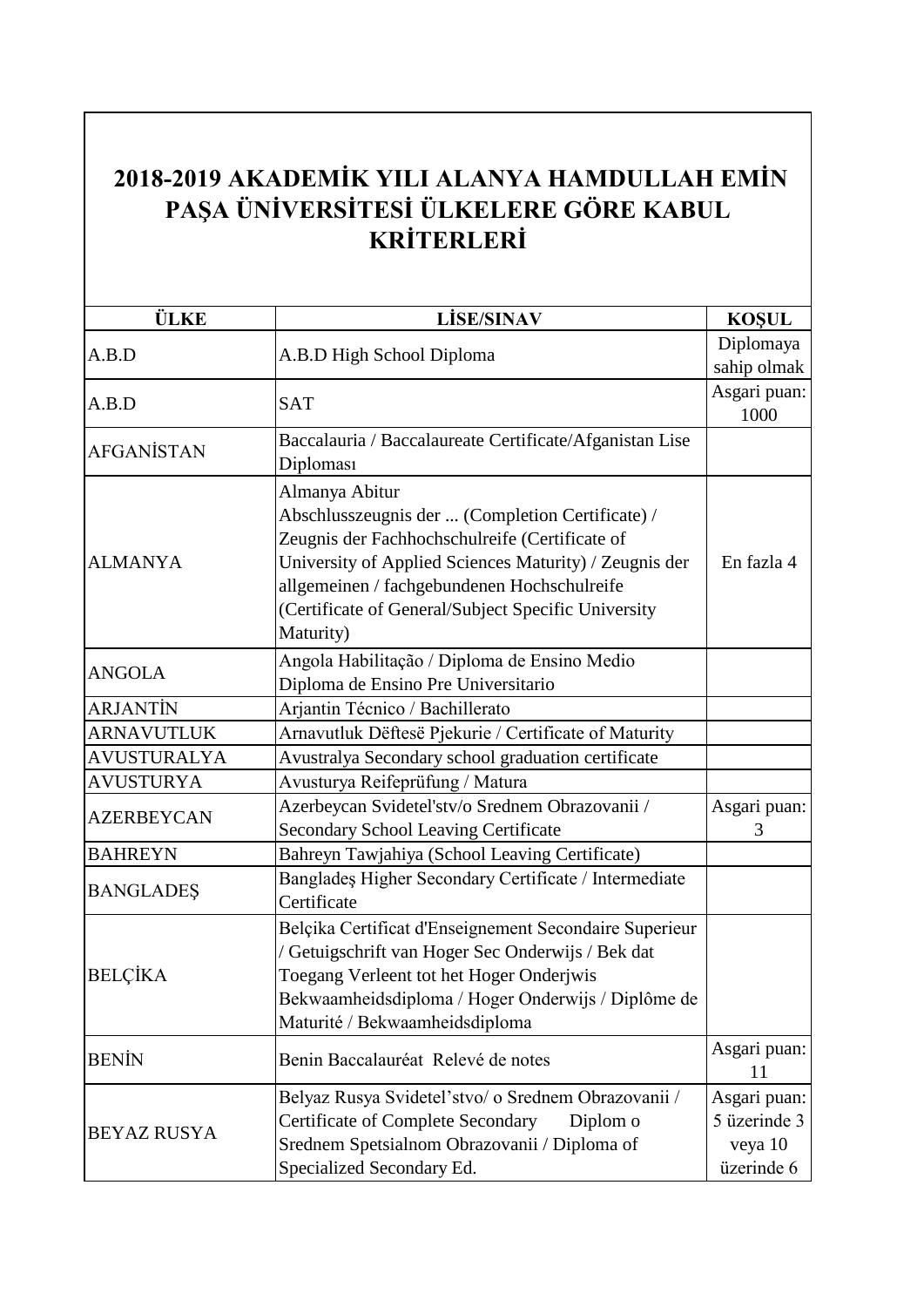## **2018-2019 AKADEMİK YILI ALANYA HAMDULLAH EMİN PAŞA ÜNİVERSİTESİ ÜLKELERE GÖRE KABUL KRİTERLERİ**

| <b>ÜLKE</b>        | <b>LİSE/SINAV</b>                                                                                                                                                                                                                                                                                 | <b>KOŞUL</b>                                          |
|--------------------|---------------------------------------------------------------------------------------------------------------------------------------------------------------------------------------------------------------------------------------------------------------------------------------------------|-------------------------------------------------------|
| A.B.D              | A.B.D High School Diploma                                                                                                                                                                                                                                                                         | Diplomaya<br>sahip olmak                              |
| A.B.D              | <b>SAT</b>                                                                                                                                                                                                                                                                                        | Asgari puan:<br>1000                                  |
| <b>AFGANISTAN</b>  | Baccalauria / Baccalaureate Certificate/Afganistan Lise<br>Diploması                                                                                                                                                                                                                              |                                                       |
| <b>ALMANYA</b>     | Almanya Abitur<br>Abschlusszeugnis der  (Completion Certificate) /<br>Zeugnis der Fachhochschulreife (Certificate of<br>University of Applied Sciences Maturity) / Zeugnis der<br>allgemeinen / fachgebundenen Hochschulreife<br>(Certificate of General/Subject Specific University<br>Maturity) | En fazla 4                                            |
| <b>ANGOLA</b>      | Angola Habilitação / Diploma de Ensino Medio<br>Diploma de Ensino Pre Universitario                                                                                                                                                                                                               |                                                       |
| <b>ARJANTIN</b>    | Arjantin Técnico / Bachillerato                                                                                                                                                                                                                                                                   |                                                       |
| <b>ARNAVUTLUK</b>  | Arnavutluk Dëftesë Pjekurie / Certificate of Maturity                                                                                                                                                                                                                                             |                                                       |
| <b>AVUSTURALYA</b> | Avustralya Secondary school graduation certificate                                                                                                                                                                                                                                                |                                                       |
| <b>AVUSTURYA</b>   | Avusturya Reifeprüfung / Matura                                                                                                                                                                                                                                                                   |                                                       |
| <b>AZERBEYCAN</b>  | Azerbeycan Svidetel'stv/o Srednem Obrazovanii /<br><b>Secondary School Leaving Certificate</b>                                                                                                                                                                                                    | Asgari puan:<br>3                                     |
| <b>BAHREYN</b>     | Bahreyn Tawjahiya (School Leaving Certificate)                                                                                                                                                                                                                                                    |                                                       |
| <b>BANGLADES</b>   | Bangladeş Higher Secondary Certificate / Intermediate<br>Certificate                                                                                                                                                                                                                              |                                                       |
| <b>BELÇİKA</b>     | Belçika Certificat d'Enseignement Secondaire Superieur<br>/ Getuigschrift van Hoger Sec Onderwijs / Bek dat<br>Toegang Verleent tot het Hoger Onderjwis<br>Bekwaamheidsdiploma / Hoger Onderwijs / Diplôme de<br>Maturité / Bekwaamheidsdiploma                                                   |                                                       |
| <b>BENIN</b>       | Benin Baccalauréat Relevé de notes                                                                                                                                                                                                                                                                | Asgari puan:<br>11                                    |
| <b>BEYAZ RUSYA</b> | Belyaz Rusya Svidetel'stvo/ o Srednem Obrazovanii /<br><b>Certificate of Complete Secondary</b><br>Diplom o<br>Srednem Spetsialnom Obrazovanii / Diploma of<br>Specialized Secondary Ed.                                                                                                          | Asgari puan:<br>5 üzerinde 3<br>veya 10<br>üzerinde 6 |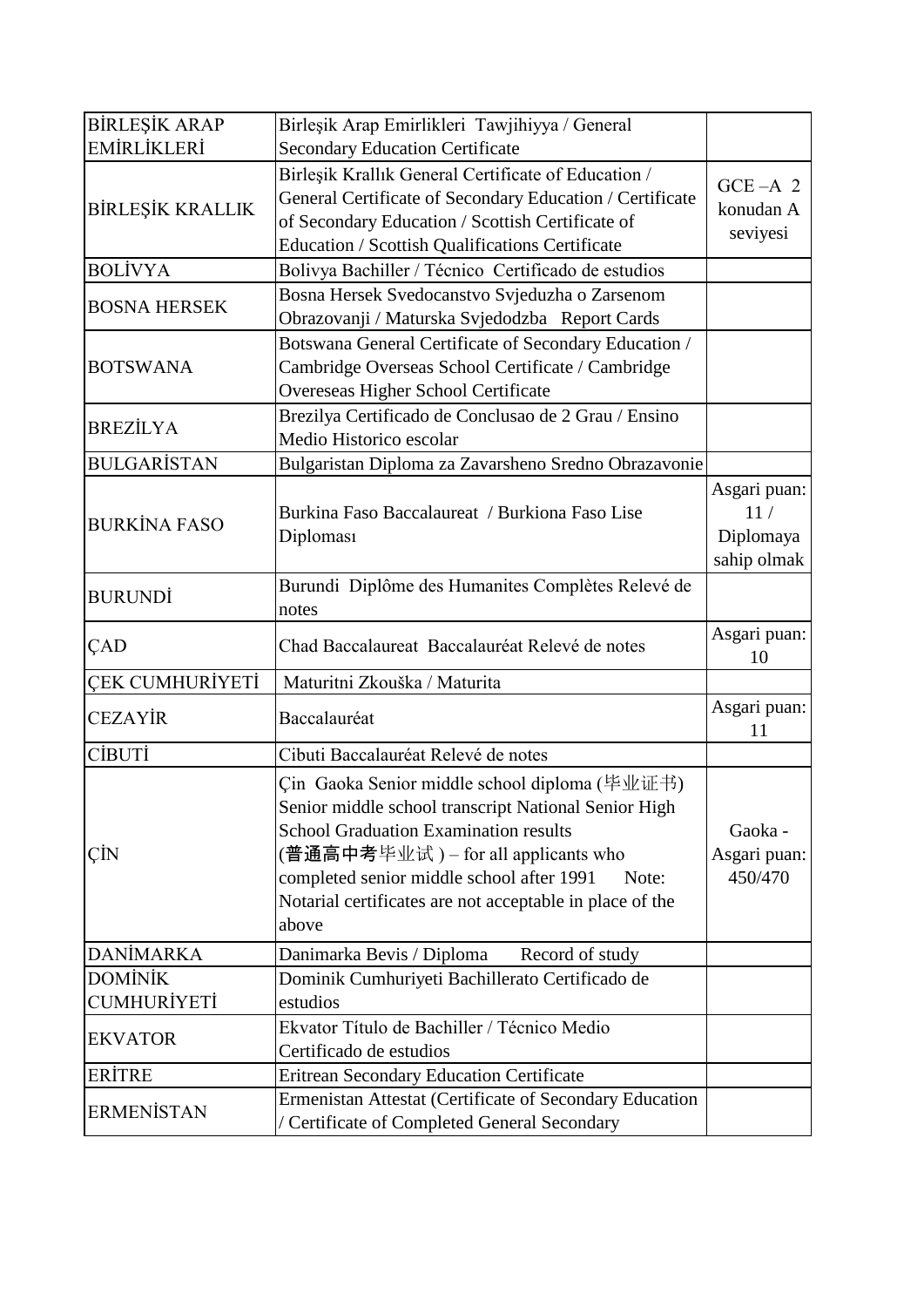| <b>BİRLEŞİK ARAP</b>                 | Birleşik Arap Emirlikleri Tawjihiyya / General                                                                                                                                                                                                                                                                          |                                                 |
|--------------------------------------|-------------------------------------------------------------------------------------------------------------------------------------------------------------------------------------------------------------------------------------------------------------------------------------------------------------------------|-------------------------------------------------|
| EMİRLİKLERİ                          | <b>Secondary Education Certificate</b>                                                                                                                                                                                                                                                                                  |                                                 |
| <b>BİRLEŞİK KRALLIK</b>              | Birleşik Krallık General Certificate of Education /<br>General Certificate of Secondary Education / Certificate<br>of Secondary Education / Scottish Certificate of<br>Education / Scottish Qualifications Certificate                                                                                                  | $GCE - A$ 2<br>konudan A<br>seviyesi            |
| <b>BOLİVYA</b>                       | Bolivya Bachiller / Técnico Certificado de estudios                                                                                                                                                                                                                                                                     |                                                 |
| <b>BOSNA HERSEK</b>                  | Bosna Hersek Svedocanstvo Svjeduzha o Zarsenom<br>Obrazovanji / Maturska Svjedodzba Report Cards                                                                                                                                                                                                                        |                                                 |
| <b>BOTSWANA</b>                      | Botswana General Certificate of Secondary Education /<br>Cambridge Overseas School Certificate / Cambridge<br>Overeseas Higher School Certificate                                                                                                                                                                       |                                                 |
| <b>BREZİLYA</b>                      | Brezilya Certificado de Conclusao de 2 Grau / Ensino<br>Medio Historico escolar                                                                                                                                                                                                                                         |                                                 |
| <b>BULGARISTAN</b>                   | Bulgaristan Diploma za Zavarsheno Sredno Obrazavonie                                                                                                                                                                                                                                                                    |                                                 |
| <b>BURKİNA FASO</b>                  | Burkina Faso Baccalaureat / Burkiona Faso Lise<br>Diploması                                                                                                                                                                                                                                                             | Asgari puan:<br>11/<br>Diplomaya<br>sahip olmak |
| <b>BURUNDİ</b>                       | Burundi Diplôme des Humanites Complètes Relevé de<br>notes                                                                                                                                                                                                                                                              |                                                 |
|                                      |                                                                                                                                                                                                                                                                                                                         |                                                 |
| ÇAD                                  | Chad Baccalaureat Baccalauréat Relevé de notes                                                                                                                                                                                                                                                                          | Asgari puan:<br>10                              |
| <b>ÇEK CUMHURİYETİ</b>               | Maturitni Zkouška / Maturita                                                                                                                                                                                                                                                                                            |                                                 |
| <b>CEZAYİR</b>                       | Baccalauréat                                                                                                                                                                                                                                                                                                            | Asgari puan:<br>11                              |
| <b>CIBUTI</b>                        | Cibuti Baccalauréat Relevé de notes                                                                                                                                                                                                                                                                                     |                                                 |
| ÇİN                                  | Çin Gaoka Senior middle school diploma (毕业证书)<br>Senior middle school transcript National Senior High<br><b>School Graduation Examination results</b><br>(普通高中考毕业试) – for all applicants who<br>completed senior middle school after 1991<br>Note:<br>Notarial certificates are not acceptable in place of the<br>above | Gaoka -<br>Asgari puan:<br>450/470              |
| <b>DANİMARKA</b>                     | Record of study<br>Danimarka Bevis / Diploma                                                                                                                                                                                                                                                                            |                                                 |
| <b>DOMINIK</b><br><b>CUMHURİYETİ</b> | Dominik Cumhuriyeti Bachillerato Certificado de<br>estudios                                                                                                                                                                                                                                                             |                                                 |
| <b>EKVATOR</b>                       | Ekvator Título de Bachiller / Técnico Medio<br>Certificado de estudios                                                                                                                                                                                                                                                  |                                                 |
| <b>ERİTRE</b>                        | <b>Eritrean Secondary Education Certificate</b>                                                                                                                                                                                                                                                                         |                                                 |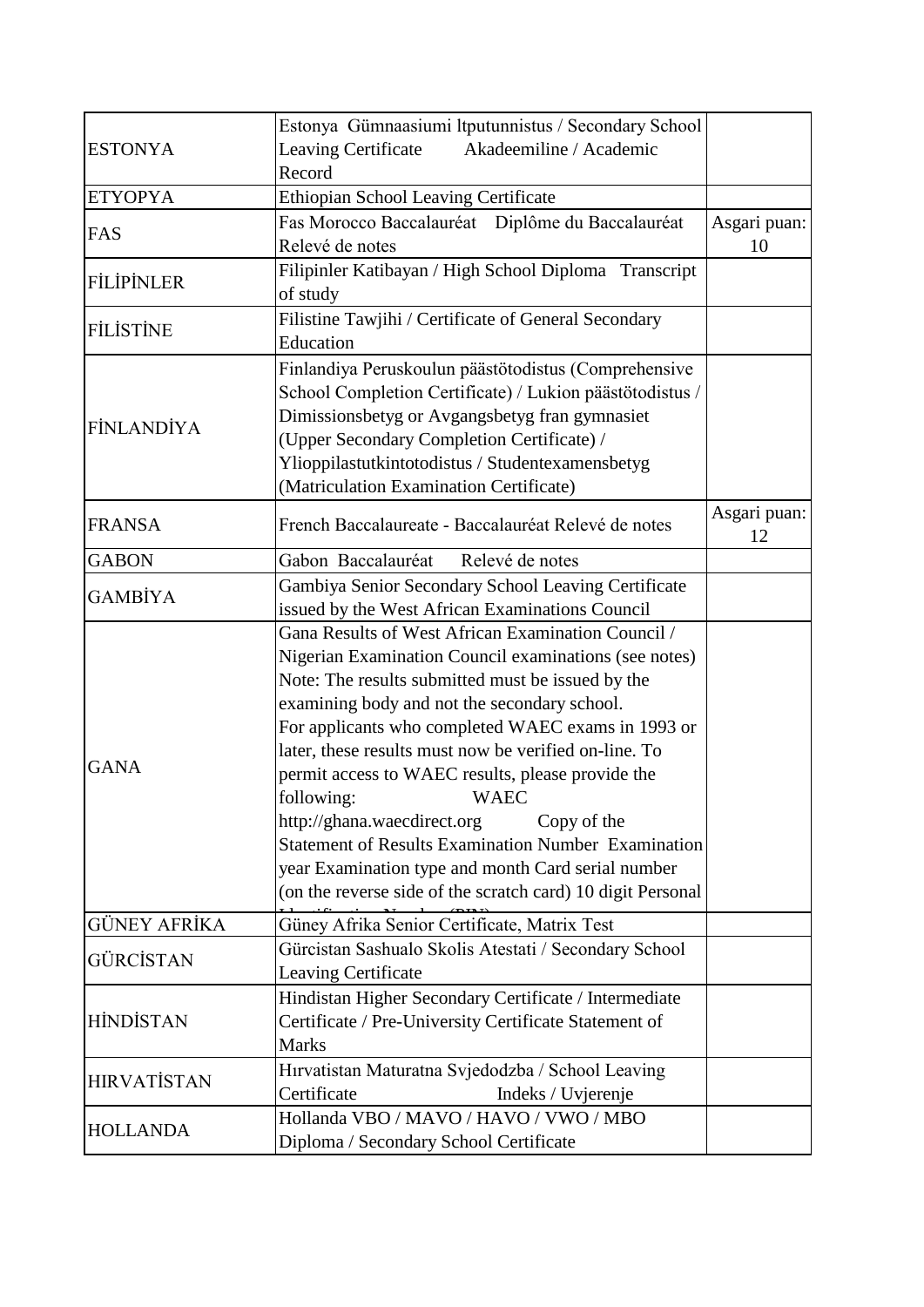|                    | Estonya Gümnaasiumi ltputunnistus / Secondary School        |              |
|--------------------|-------------------------------------------------------------|--------------|
| <b>ESTONYA</b>     | Akadeemiline / Academic<br>Leaving Certificate              |              |
|                    | Record                                                      |              |
| <b>ETYOPYA</b>     | Ethiopian School Leaving Certificate                        |              |
|                    | Fas Morocco Baccalauréat Diplôme du Baccalauréat            | Asgari puan: |
| FAS                | Relevé de notes                                             | 10           |
| <b>FİLİPİNLER</b>  | Filipinler Katibayan / High School Diploma Transcript       |              |
|                    | of study                                                    |              |
| <b>FILISTINE</b>   | Filistine Tawjihi / Certificate of General Secondary        |              |
|                    | Education                                                   |              |
|                    | Finlandiya Peruskoulun päästötodistus (Comprehensive        |              |
|                    | School Completion Certificate) / Lukion päästötodistus /    |              |
| <b>FİNLANDİYA</b>  | Dimissionsbetyg or Avgangsbetyg fran gymnasiet              |              |
|                    | (Upper Secondary Completion Certificate) /                  |              |
|                    | Ylioppilastutkintotodistus / Studentexamensbetyg            |              |
|                    | (Matriculation Examination Certificate)                     |              |
|                    |                                                             | Asgari puan: |
| <b>FRANSA</b>      | French Baccalaureate - Baccalauréat Relevé de notes         | 12           |
| <b>GABON</b>       | Gabon Baccalauréat<br>Relevé de notes                       |              |
| <b>GAMBİYA</b>     | Gambiya Senior Secondary School Leaving Certificate         |              |
|                    | issued by the West African Examinations Council             |              |
|                    | Gana Results of West African Examination Council /          |              |
|                    | Nigerian Examination Council examinations (see notes)       |              |
|                    | Note: The results submitted must be issued by the           |              |
|                    | examining body and not the secondary school.                |              |
|                    | For applicants who completed WAEC exams in 1993 or          |              |
|                    | later, these results must now be verified on-line. To       |              |
| <b>GANA</b>        | permit access to WAEC results, please provide the           |              |
|                    | following:<br><b>WAEC</b>                                   |              |
|                    | http://ghana.waecdirect.org<br>Copy of the                  |              |
|                    | <b>Statement of Results Examination Number Examination</b>  |              |
|                    | year Examination type and month Card serial number          |              |
|                    | (on the reverse side of the scratch card) 10 digit Personal |              |
| GÜNEY AFRİKA       | Güney Afrika Senior Certificate, Matrix Test                |              |
|                    | Gürcistan Sashualo Skolis Atestati / Secondary School       |              |
| GÜRCİSTAN          | Leaving Certificate                                         |              |
| <b>HİNDİSTAN</b>   | Hindistan Higher Secondary Certificate / Intermediate       |              |
|                    | Certificate / Pre-University Certificate Statement of       |              |
|                    | <b>Marks</b>                                                |              |
|                    | Hırvatistan Maturatna Svjedodzba / School Leaving           |              |
| <b>HIRVATISTAN</b> | Certificate<br>Indeks / Uvjerenje                           |              |
|                    | Hollanda VBO / MAVO / HAVO / VWO / MBO                      |              |
| <b>HOLLANDA</b>    | Diploma / Secondary School Certificate                      |              |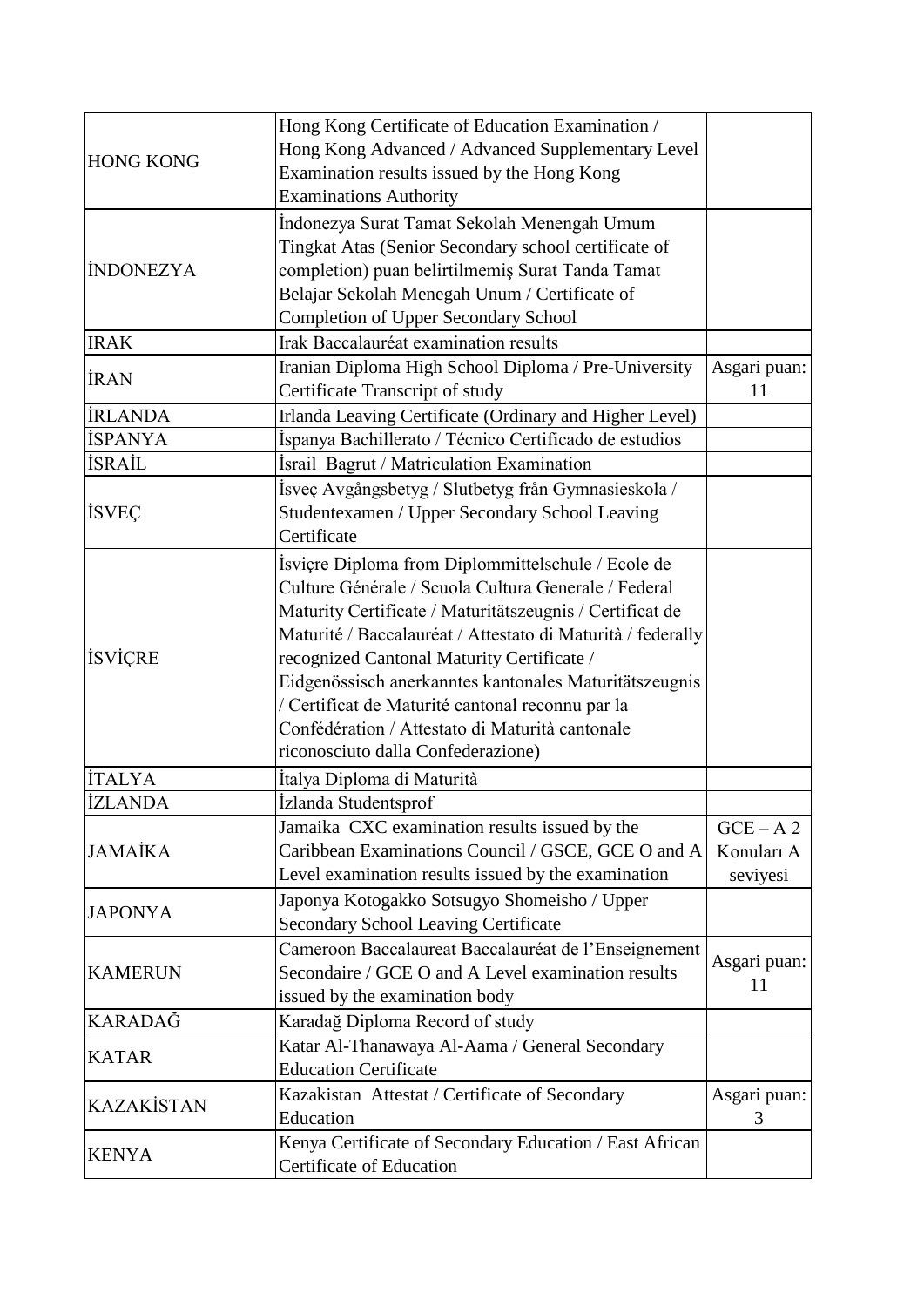| <b>HONG KONG</b> | Hong Kong Certificate of Education Examination /            |              |
|------------------|-------------------------------------------------------------|--------------|
|                  | Hong Kong Advanced / Advanced Supplementary Level           |              |
|                  | Examination results issued by the Hong Kong                 |              |
|                  | <b>Examinations Authority</b>                               |              |
|                  | İndonezya Surat Tamat Sekolah Menengah Umum                 |              |
| <b>INDONEZYA</b> | Tingkat Atas (Senior Secondary school certificate of        |              |
|                  | completion) puan belirtilmemiş Surat Tanda Tamat            |              |
|                  | Belajar Sekolah Menegah Unum / Certificate of               |              |
|                  | Completion of Upper Secondary School                        |              |
| <b>IRAK</b>      | Irak Baccalauréat examination results                       |              |
|                  | Iranian Diploma High School Diploma / Pre-University        | Asgari puan: |
| <b>İRAN</b>      | Certificate Transcript of study                             | 11           |
| <b>İRLANDA</b>   | Irlanda Leaving Certificate (Ordinary and Higher Level)     |              |
| <b>İSPANYA</b>   | Ispanya Bachillerato / Técnico Certificado de estudios      |              |
| <b>İSRAİL</b>    | İsrail Bagrut / Matriculation Examination                   |              |
|                  | İsveç Avgångsbetyg / Slutbetyg från Gymnasieskola /         |              |
| <b>İSVEÇ</b>     | Studentexamen / Upper Secondary School Leaving              |              |
|                  | Certificate                                                 |              |
|                  | Isviçre Diploma from Diplommittelschule / Ecole de          |              |
|                  | Culture Générale / Scuola Cultura Generale / Federal        |              |
|                  | Maturity Certificate / Maturitätszeugnis / Certificat de    |              |
|                  | Maturité / Baccalauréat / Attestato di Maturità / federally |              |
| <b>İSVİÇRE</b>   | recognized Cantonal Maturity Certificate /                  |              |
|                  | Eidgenössisch anerkanntes kantonales Maturitätszeugnis      |              |
|                  | / Certificat de Maturité cantonal reconnu par la            |              |
|                  | Confédération / Attestato di Maturità cantonale             |              |
|                  | riconosciuto dalla Confederazione)                          |              |
| <b>İTALYA</b>    | İtalya Diploma di Maturità                                  |              |
| <b>İZLANDA</b>   | İzlanda Studentsprof                                        |              |
|                  | Jamaika CXC examination results issued by the               | $GCE - A2$   |
| JAMAİKA          | Caribbean Examinations Council / GSCE, GCE O and A          | Konuları A   |
|                  | Level examination results issued by the examination         | seviyesi     |
|                  | Japonya Kotogakko Sotsugyo Shomeisho / Upper                |              |
| <b>JAPONYA</b>   | Secondary School Leaving Certificate                        |              |
|                  | Cameroon Baccalaureat Baccalauréat de l'Enseignement        |              |
| <b>KAMERUN</b>   | Secondaire / GCE O and A Level examination results          | Asgari puan: |
|                  | issued by the examination body                              | 11           |
| KARADAĞ          | Karadağ Diploma Record of study                             |              |
|                  | Katar Al-Thanawaya Al-Aama / General Secondary              |              |
| <b>KATAR</b>     | <b>Education Certificate</b>                                |              |
|                  | Kazakistan Attestat / Certificate of Secondary              | Asgari puan: |
| KAZAKİSTAN       | Education                                                   | 3            |
|                  | Kenya Certificate of Secondary Education / East African     |              |
| <b>KENYA</b>     | Certificate of Education                                    |              |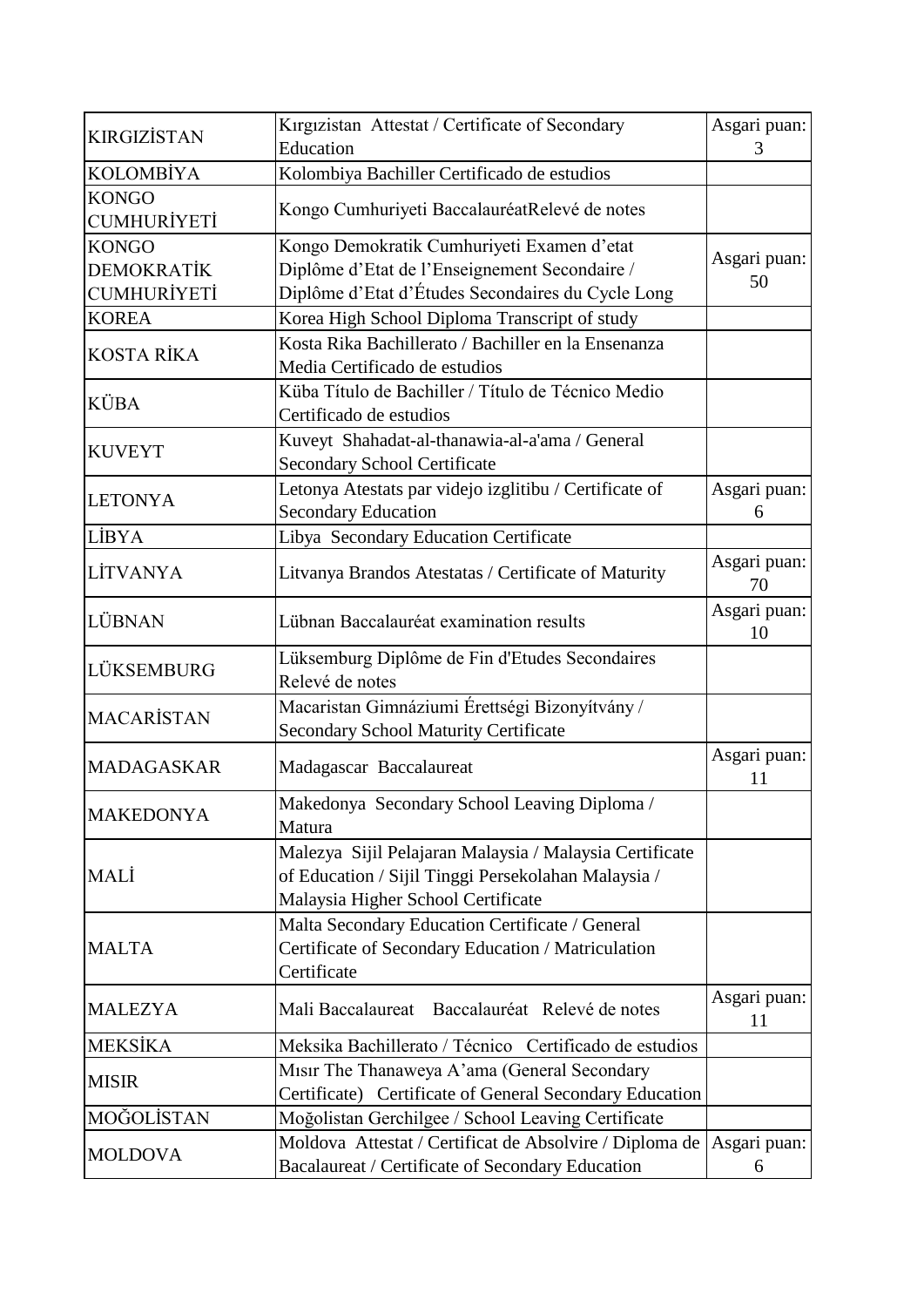| <b>KIRGIZİSTAN</b>                                      | Kırgızistan Attestat / Certificate of Secondary<br>Education                                                                                         | Asgari puan:<br>3  |
|---------------------------------------------------------|------------------------------------------------------------------------------------------------------------------------------------------------------|--------------------|
| <b>KOLOMBİYA</b>                                        | Kolombiya Bachiller Certificado de estudios                                                                                                          |                    |
| <b>KONGO</b><br><b>CUMHURİYETİ</b>                      | Kongo Cumhuriyeti BaccalauréatRelevé de notes                                                                                                        |                    |
| <b>KONGO</b><br><b>DEMOKRATİK</b><br><b>CUMHURİYETİ</b> | Kongo Demokratik Cumhuriyeti Examen d'etat<br>Diplôme d'Etat de l'Enseignement Secondaire /<br>Diplôme d'Etat d'Études Secondaires du Cycle Long     | Asgari puan:<br>50 |
| <b>KOREA</b>                                            | Korea High School Diploma Transcript of study                                                                                                        |                    |
| KOSTA RİKA                                              | Kosta Rika Bachillerato / Bachiller en la Ensenanza<br>Media Certificado de estudios                                                                 |                    |
| KÜBA                                                    | Küba Título de Bachiller / Título de Técnico Medio<br>Certificado de estudios                                                                        |                    |
| <b>KUVEYT</b>                                           | Kuveyt Shahadat-al-thanawia-al-a'ama / General<br>Secondary School Certificate                                                                       |                    |
| <b>LETONYA</b>                                          | Letonya Atestats par videjo izglitibu / Certificate of<br><b>Secondary Education</b>                                                                 | Asgari puan:<br>6  |
| <b>LİBYA</b>                                            | Libya Secondary Education Certificate                                                                                                                |                    |
| LİTVANYA                                                | Litvanya Brandos Atestatas / Certificate of Maturity                                                                                                 | Asgari puan:<br>70 |
| LÜBNAN                                                  | Lübnan Baccalauréat examination results                                                                                                              | Asgari puan:<br>10 |
| LÜKSEMBURG                                              | Lüksemburg Diplôme de Fin d'Etudes Secondaires<br>Relevé de notes                                                                                    |                    |
| <b>MACARİSTAN</b>                                       | Macaristan Gimnáziumi Érettségi Bizonyítvány /<br><b>Secondary School Maturity Certificate</b>                                                       |                    |
| <b>MADAGASKAR</b>                                       | Madagascar Baccalaureat                                                                                                                              | Asgari puan:<br>11 |
| <b>MAKEDONYA</b>                                        | Makedonya Secondary School Leaving Diploma /<br>Matura                                                                                               |                    |
| MALİ                                                    | Malezya Sijil Pelajaran Malaysia / Malaysia Certificate<br>of Education / Sijil Tinggi Persekolahan Malaysia /<br>Malaysia Higher School Certificate |                    |
| <b>MALTA</b>                                            | Malta Secondary Education Certificate / General<br>Certificate of Secondary Education / Matriculation<br>Certificate                                 |                    |
| <b>MALEZYA</b>                                          | Mali Baccalaureat Baccalauréat Relevé de notes                                                                                                       | Asgari puan:<br>11 |
| <b>MEKSİKA</b>                                          | Meksika Bachillerato / Técnico Certificado de estudios                                                                                               |                    |
| <b>MISIR</b>                                            | Misir The Thanaweya A'ama (General Secondary<br>Certificate) Certificate of General Secondary Education                                              |                    |
| MOĞOLİSTAN                                              | Moğolistan Gerchilgee / School Leaving Certificate                                                                                                   |                    |
| <b>MOLDOVA</b>                                          | Moldova Attestat / Certificat de Absolvire / Diploma de  <br>Bacalaureat / Certificate of Secondary Education                                        | Asgari puan:<br>6  |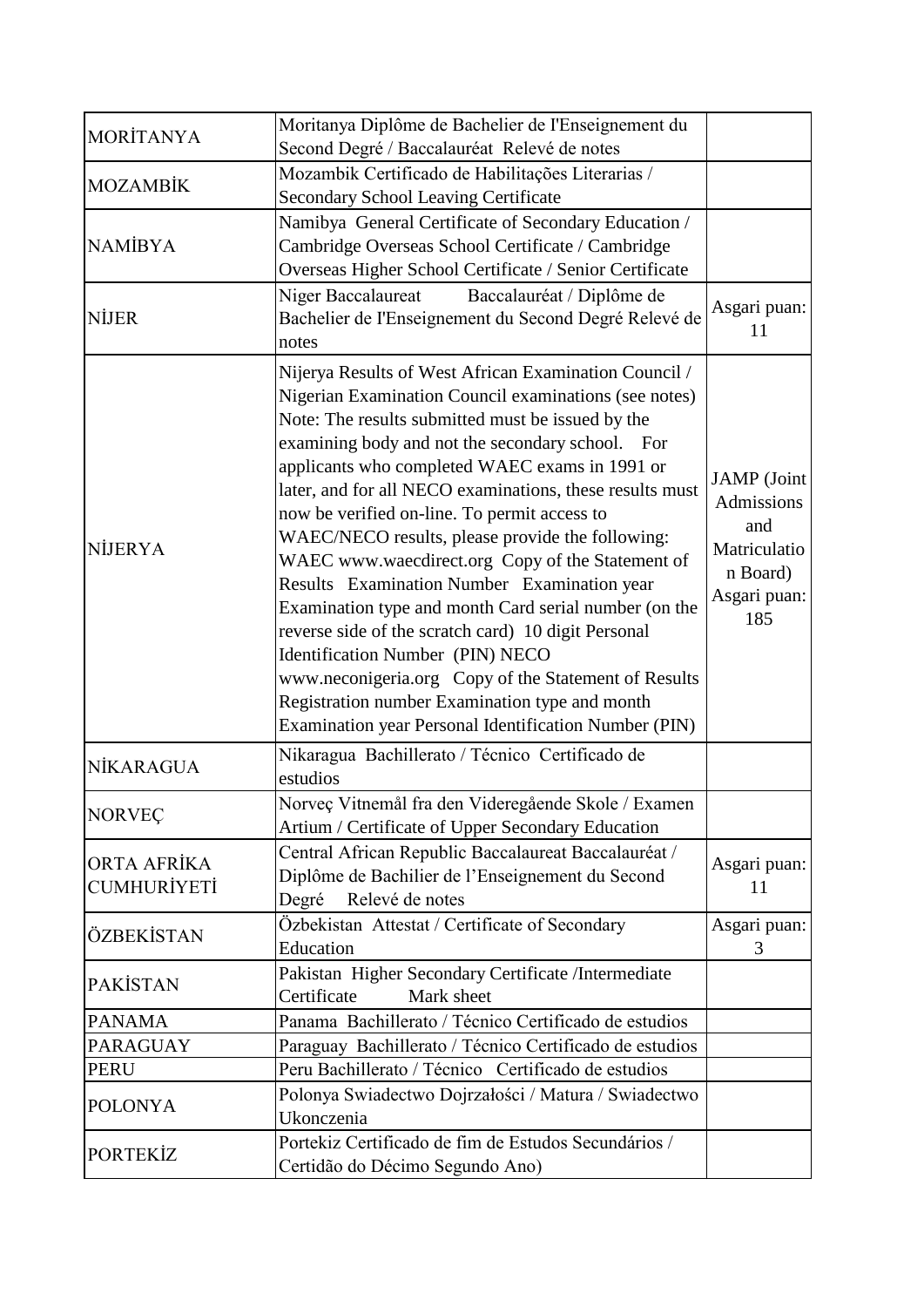| <b>MORİTANYA</b>                  | Moritanya Diplôme de Bachelier de l'Enseignement du<br>Second Degré / Baccalauréat Relevé de notes                                                                                                                                                                                                                                                                                                                                                                                                                                                                                                                                                                                                                                                                                                                                                                  |                                                                                            |
|-----------------------------------|---------------------------------------------------------------------------------------------------------------------------------------------------------------------------------------------------------------------------------------------------------------------------------------------------------------------------------------------------------------------------------------------------------------------------------------------------------------------------------------------------------------------------------------------------------------------------------------------------------------------------------------------------------------------------------------------------------------------------------------------------------------------------------------------------------------------------------------------------------------------|--------------------------------------------------------------------------------------------|
| <b>MOZAMBİK</b>                   | Mozambik Certificado de Habilitações Literarias /<br><b>Secondary School Leaving Certificate</b>                                                                                                                                                                                                                                                                                                                                                                                                                                                                                                                                                                                                                                                                                                                                                                    |                                                                                            |
| <b>NAMİBYA</b>                    | Namibya General Certificate of Secondary Education /<br>Cambridge Overseas School Certificate / Cambridge<br>Overseas Higher School Certificate / Senior Certificate                                                                                                                                                                                                                                                                                                                                                                                                                                                                                                                                                                                                                                                                                                |                                                                                            |
| NİJER                             | Baccalauréat / Diplôme de<br>Niger Baccalaureat<br>Bachelier de l'Enseignement du Second Degré Relevé de<br>notes                                                                                                                                                                                                                                                                                                                                                                                                                                                                                                                                                                                                                                                                                                                                                   | Asgari puan:<br>11                                                                         |
| NİJERYA                           | Nijerya Results of West African Examination Council /<br>Nigerian Examination Council examinations (see notes)<br>Note: The results submitted must be issued by the<br>examining body and not the secondary school. For<br>applicants who completed WAEC exams in 1991 or<br>later, and for all NECO examinations, these results must<br>now be verified on-line. To permit access to<br>WAEC/NECO results, please provide the following:<br>WAEC www.waecdirect.org Copy of the Statement of<br>Results Examination Number Examination year<br>Examination type and month Card serial number (on the<br>reverse side of the scratch card) 10 digit Personal<br>Identification Number (PIN) NECO<br>www.neconigeria.org Copy of the Statement of Results<br>Registration number Examination type and month<br>Examination year Personal Identification Number (PIN) | <b>JAMP</b> (Joint<br>Admissions<br>and<br>Matriculatio<br>n Board)<br>Asgari puan:<br>185 |
| NİKARAGUA                         | Nikaragua Bachillerato / Técnico Certificado de<br>estudios                                                                                                                                                                                                                                                                                                                                                                                                                                                                                                                                                                                                                                                                                                                                                                                                         |                                                                                            |
| <b>NORVEC</b>                     | Norveç Vitnemål fra den Videregående Skole / Examen<br>Artium / Certificate of Upper Secondary Education                                                                                                                                                                                                                                                                                                                                                                                                                                                                                                                                                                                                                                                                                                                                                            |                                                                                            |
| ORTA AFRİKA<br><b>CUMHURİYETİ</b> | Central African Republic Baccalaureat Baccalauréat /<br>Diplôme de Bachilier de l'Enseignement du Second<br>Degré<br>Relevé de notes                                                                                                                                                                                                                                                                                                                                                                                                                                                                                                                                                                                                                                                                                                                                | Asgari puan:<br>11                                                                         |
| ÖZBEKİSTAN                        | Özbekistan Attestat / Certificate of Secondary<br>Education                                                                                                                                                                                                                                                                                                                                                                                                                                                                                                                                                                                                                                                                                                                                                                                                         | Asgari puan:<br>3                                                                          |
| <b>PAKİSTAN</b>                   | Pakistan Higher Secondary Certificate /Intermediate<br>Certificate<br>Mark sheet                                                                                                                                                                                                                                                                                                                                                                                                                                                                                                                                                                                                                                                                                                                                                                                    |                                                                                            |
| <b>PANAMA</b>                     | Panama Bachillerato / Técnico Certificado de estudios                                                                                                                                                                                                                                                                                                                                                                                                                                                                                                                                                                                                                                                                                                                                                                                                               |                                                                                            |
| <b>PARAGUAY</b>                   | Paraguay Bachillerato / Técnico Certificado de estudios                                                                                                                                                                                                                                                                                                                                                                                                                                                                                                                                                                                                                                                                                                                                                                                                             |                                                                                            |
| <b>PERU</b>                       | Peru Bachillerato / Técnico Certificado de estudios                                                                                                                                                                                                                                                                                                                                                                                                                                                                                                                                                                                                                                                                                                                                                                                                                 |                                                                                            |
| <b>POLONYA</b>                    | Polonya Swiadectwo Dojrzałości / Matura / Swiadectwo<br>Ukonczenia                                                                                                                                                                                                                                                                                                                                                                                                                                                                                                                                                                                                                                                                                                                                                                                                  |                                                                                            |
| <b>PORTEKİZ</b>                   | Portekiz Certificado de fim de Estudos Secundários /<br>Certidão do Décimo Segundo Ano)                                                                                                                                                                                                                                                                                                                                                                                                                                                                                                                                                                                                                                                                                                                                                                             |                                                                                            |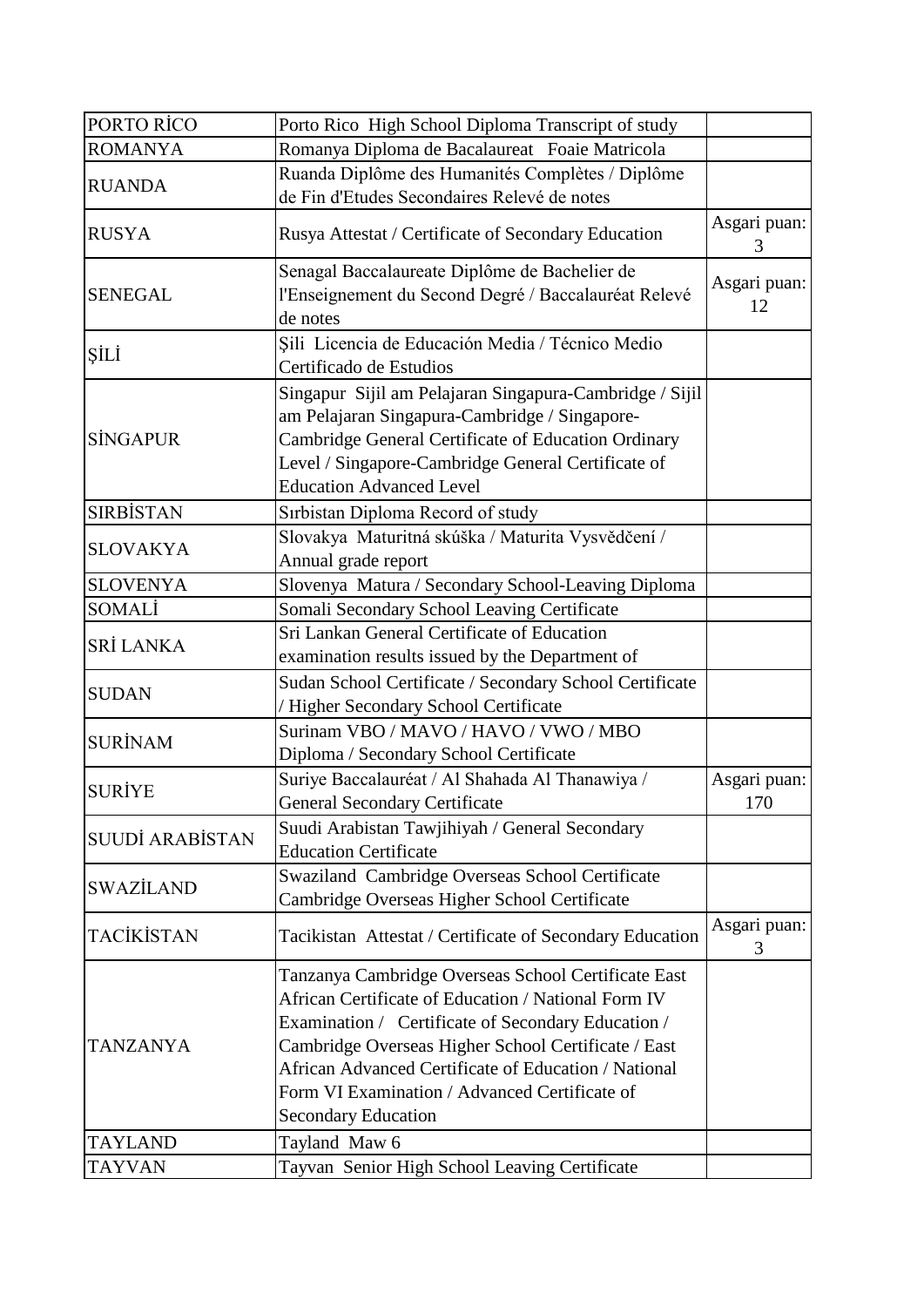| PORTO RÍCO             | Porto Rico High School Diploma Transcript of study       |                   |
|------------------------|----------------------------------------------------------|-------------------|
| <b>ROMANYA</b>         | Romanya Diploma de Bacalaureat Foaie Matricola           |                   |
|                        | Ruanda Diplôme des Humanités Complètes / Diplôme         |                   |
| <b>RUANDA</b>          | de Fin d'Etudes Secondaires Relevé de notes              |                   |
| <b>RUSYA</b>           | Rusya Attestat / Certificate of Secondary Education      | Asgari puan:<br>3 |
|                        | Senagal Baccalaureate Diplôme de Bachelier de            | Asgari puan:      |
| <b>SENEGAL</b>         | l'Enseignement du Second Degré / Baccalauréat Relevé     | 12                |
|                        | de notes                                                 |                   |
| ŞİLİ                   | Șili Licencia de Educación Media / Técnico Medio         |                   |
|                        | Certificado de Estudios                                  |                   |
|                        | Singapur Sijil am Pelajaran Singapura-Cambridge / Sijil  |                   |
|                        | am Pelajaran Singapura-Cambridge / Singapore-            |                   |
| <b>SINGAPUR</b>        | Cambridge General Certificate of Education Ordinary      |                   |
|                        | Level / Singapore-Cambridge General Certificate of       |                   |
|                        | <b>Education Advanced Level</b>                          |                   |
| <b>SIRBİSTAN</b>       | Sırbistan Diploma Record of study                        |                   |
| <b>SLOVAKYA</b>        | Slovakya Maturitná skúška / Maturita Vysvědčení /        |                   |
|                        | Annual grade report                                      |                   |
| <b>SLOVENYA</b>        | Slovenya Matura / Secondary School-Leaving Diploma       |                   |
| SOMALİ                 | Somali Secondary School Leaving Certificate              |                   |
| SRİ LANKA              | Sri Lankan General Certificate of Education              |                   |
|                        | examination results issued by the Department of          |                   |
| <b>SUDAN</b>           | Sudan School Certificate / Secondary School Certificate  |                   |
|                        | / Higher Secondary School Certificate                    |                   |
| <b>SURİNAM</b>         | Surinam VBO / MAVO / HAVO / VWO / MBO                    |                   |
|                        | Diploma / Secondary School Certificate                   |                   |
| <b>SURİYE</b>          | Suriye Baccalauréat / Al Shahada Al Thanawiya /          | Asgari puan:      |
|                        | <b>General Secondary Certificate</b>                     | 170               |
|                        | Suudi Arabistan Tawjihiyah / General Secondary           |                   |
| <b>SUUDİ ARABİSTAN</b> | <b>Education Certificate</b>                             |                   |
| <b>SWAZİLAND</b>       | Swaziland Cambridge Overseas School Certificate          |                   |
|                        | Cambridge Overseas Higher School Certificate             |                   |
| <b>TACİKİSTAN</b>      | Tacikistan Attestat / Certificate of Secondary Education | Asgari puan:<br>3 |
|                        | Tanzanya Cambridge Overseas School Certificate East      |                   |
|                        | African Certificate of Education / National Form IV      |                   |
|                        | Examination / Certificate of Secondary Education /       |                   |
| <b>TANZANYA</b>        | Cambridge Overseas Higher School Certificate / East      |                   |
|                        | African Advanced Certificate of Education / National     |                   |
|                        | Form VI Examination / Advanced Certificate of            |                   |
|                        | <b>Secondary Education</b>                               |                   |
| <b>TAYLAND</b>         | Tayland Maw 6                                            |                   |
| <b>TAYVAN</b>          | Tayvan Senior High School Leaving Certificate            |                   |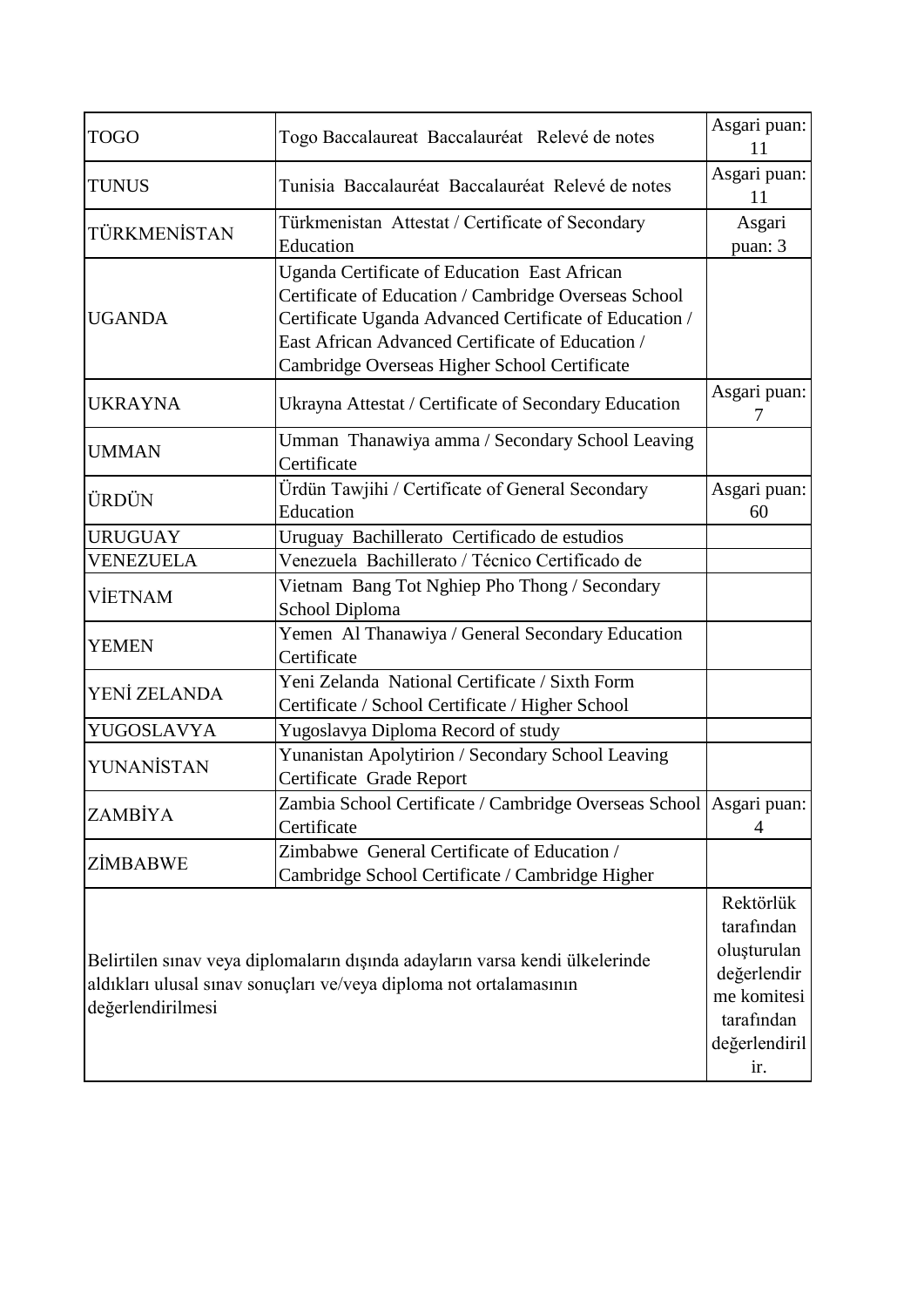| <b>TOGO</b>       | Togo Baccalaureat Baccalauréat Relevé de notes                                                                                                                                                                                                                     | Asgari puan:<br>11                                                                                         |
|-------------------|--------------------------------------------------------------------------------------------------------------------------------------------------------------------------------------------------------------------------------------------------------------------|------------------------------------------------------------------------------------------------------------|
| <b>TUNUS</b>      | Tunisia Baccalauréat Baccalauréat Relevé de notes                                                                                                                                                                                                                  | Asgari puan:<br>11                                                                                         |
| TÜRKMENİSTAN      | Türkmenistan Attestat / Certificate of Secondary<br>Education                                                                                                                                                                                                      | Asgari<br>puan: 3                                                                                          |
| <b>UGANDA</b>     | Uganda Certificate of Education East African<br>Certificate of Education / Cambridge Overseas School<br>Certificate Uganda Advanced Certificate of Education /<br>East African Advanced Certificate of Education /<br>Cambridge Overseas Higher School Certificate |                                                                                                            |
| <b>UKRAYNA</b>    | Ukrayna Attestat / Certificate of Secondary Education                                                                                                                                                                                                              | Asgari puan:                                                                                               |
| <b>UMMAN</b>      | Umman Thanawiya amma / Secondary School Leaving<br>Certificate                                                                                                                                                                                                     |                                                                                                            |
| ÜRDÜN             | Ürdün Tawjihi / Certificate of General Secondary<br>Education                                                                                                                                                                                                      | Asgari puan:<br>60                                                                                         |
| <b>URUGUAY</b>    | Uruguay Bachillerato Certificado de estudios                                                                                                                                                                                                                       |                                                                                                            |
| VENEZUELA         | Venezuela Bachillerato / Técnico Certificado de                                                                                                                                                                                                                    |                                                                                                            |
| <b>VİETNAM</b>    | Vietnam Bang Tot Nghiep Pho Thong / Secondary<br>School Diploma                                                                                                                                                                                                    |                                                                                                            |
| <b>YEMEN</b>      | Yemen Al Thanawiya / General Secondary Education<br>Certificate                                                                                                                                                                                                    |                                                                                                            |
| YENİ ZELANDA      | Yeni Zelanda National Certificate / Sixth Form<br>Certificate / School Certificate / Higher School                                                                                                                                                                 |                                                                                                            |
| YUGOSLAVYA        | Yugoslavya Diploma Record of study                                                                                                                                                                                                                                 |                                                                                                            |
| YUNANİSTAN        | Yunanistan Apolytirion / Secondary School Leaving<br>Certificate Grade Report                                                                                                                                                                                      |                                                                                                            |
| ZAMBİYA           | Zambia School Certificate / Cambridge Overseas School Asgari puan:<br>Certificate                                                                                                                                                                                  | 4                                                                                                          |
| ZİMBABWE          | Zimbabwe General Certificate of Education /<br>Cambridge School Certificate / Cambridge Higher                                                                                                                                                                     |                                                                                                            |
| değerlendirilmesi | Belirtilen sınav veya diplomaların dışında adayların varsa kendi ülkelerinde<br>aldıkları ulusal sınav sonuçları ve/veya diploma not ortalamasının                                                                                                                 | Rektörlük<br>tarafından<br>oluşturulan<br>değerlendir<br>me komitesi<br>tarafından<br>değerlendiril<br>ir. |